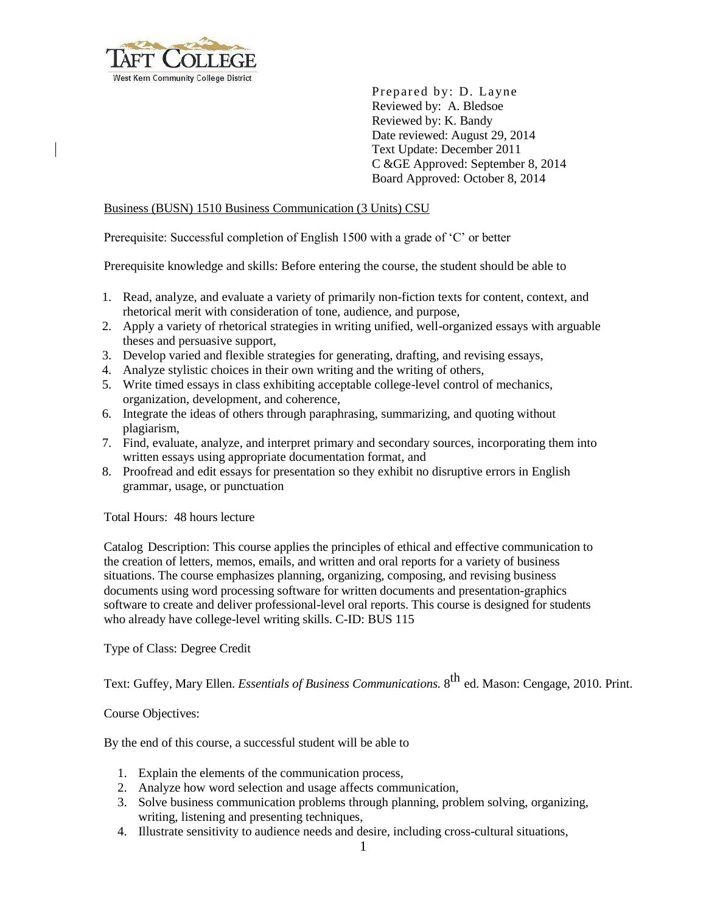

Prepared by: D. Layne Reviewed by: A. Bledsoe Reviewed by: K. Bandy Date reviewed: August 29, 2014 Text Update: December 2011 C &GE Approved: September 8, 2014 Board Approved: October 8, 2014

#### Business (BUSN) 1510 Business Communication (3 Units) CSU

Prerequisite: Successful completion of English 1500 with a grade of 'C' or better

Prerequisite knowledge and skills: Before entering the course, the student should be able to

- 1. Read, analyze, and evaluate a variety of primarily non-fiction texts for content, context, and rhetorical merit with consideration of tone, audience, and purpose,
- 2. Apply a variety of rhetorical strategies in writing unified, well-organized essays with arguable theses and persuasive support,
- 3. Develop varied and flexible strategies for generating, drafting, and revising essays,
- 4. Analyze stylistic choices in their own writing and the writing of others,
- 5. Write timed essays in class exhibiting acceptable college-level control of mechanics, organization, development, and coherence,
- 6. Integrate the ideas of others through paraphrasing, summarizing, and quoting without plagiarism,
- 7. Find, evaluate, analyze, and interpret primary and secondary sources, incorporating them into written essays using appropriate documentation format, and
- 8. Proofread and edit essays for presentation so they exhibit no disruptive errors in English grammar, usage, or punctuation

Total Hours: 48 hours lecture

Catalog Description: This course applies the principles of ethical and effective communication to the creation of letters, memos, emails, and written and oral reports for a variety of business situations. The course emphasizes planning, organizing, composing, and revising business documents using word processing software for written documents and presentation-graphics software to create and deliver professional-level oral reports. This course is designed for students who already have college-level writing skills. C-ID: BUS 115

Type of Class: Degree Credit

Text: Guffey, Mary Ellen. *Essentials of Business Communications.* 8 th ed. Mason: Cengage, 2010. Print.

#### Course Objectives:

By the end of this course, a successful student will be able to

- 1. Explain the elements of the communication process,
- 2. Analyze how word selection and usage affects communication,
- 3. Solve business communication problems through planning, problem solving, organizing, writing, listening and presenting techniques,
- 4. Illustrate sensitivity to audience needs and desire, including cross-cultural situations,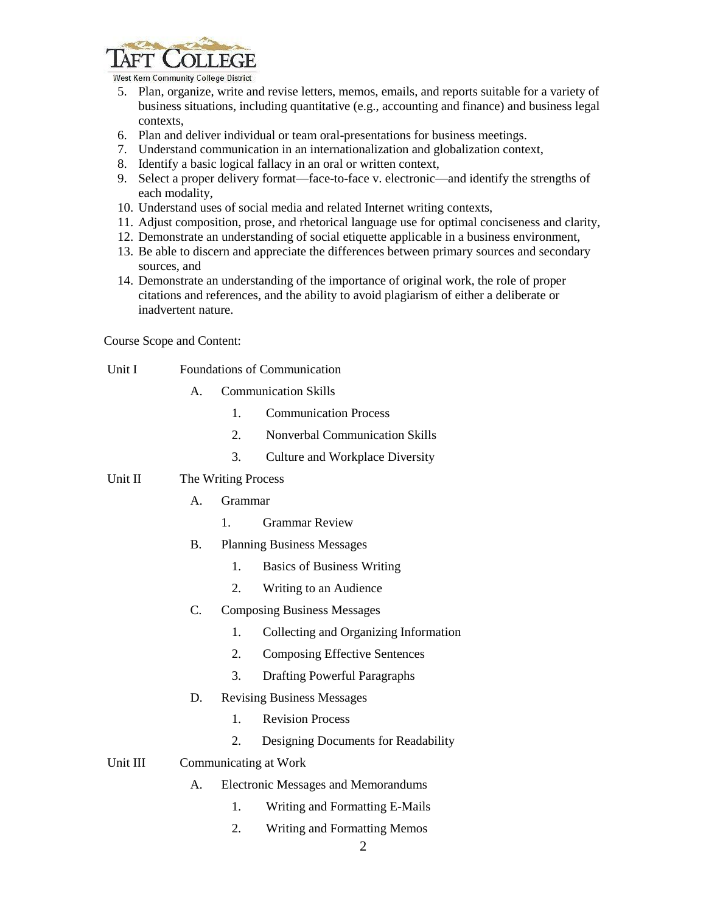

West Kern Community College District

- 5. Plan, organize, write and revise letters, memos, emails, and reports suitable for a variety of business situations, including quantitative (e.g., accounting and finance) and business legal contexts,
- 6. Plan and deliver individual or team oral-presentations for business meetings.
- 7. Understand communication in an internationalization and globalization context,
- 8. Identify a basic logical fallacy in an oral or written context,
- 9. Select a proper delivery format—face-to-face v. electronic—and identify the strengths of each modality,
- 10. Understand uses of social media and related Internet writing contexts,
- 11. Adjust composition, prose, and rhetorical language use for optimal conciseness and clarity,
- 12. Demonstrate an understanding of social etiquette applicable in a business environment,
- 13. Be able to discern and appreciate the differences between primary sources and secondary sources, and
- 14. Demonstrate an understanding of the importance of original work, the role of proper citations and references, and the ability to avoid plagiarism of either a deliberate or inadvertent nature.

Course Scope and Content:

- Unit I Foundations of Communication
	- A. Communication Skills
		- 1. Communication Process
		- 2. Nonverbal Communication Skills
		- 3. Culture and Workplace Diversity

## Unit II The Writing Process

- A. Grammar
	- 1. Grammar Review
- B. Planning Business Messages
	- 1. Basics of Business Writing
	- 2. Writing to an Audience

# C. Composing Business Messages

- 1. Collecting and Organizing Information
- 2. Composing Effective Sentences
- 3. Drafting Powerful Paragraphs
- D. Revising Business Messages
	- 1. Revision Process
	- 2. Designing Documents for Readability

## Unit III Communicating at Work

- A. Electronic Messages and Memorandums
	- 1. Writing and Formatting E-Mails
	- 2. Writing and Formatting Memos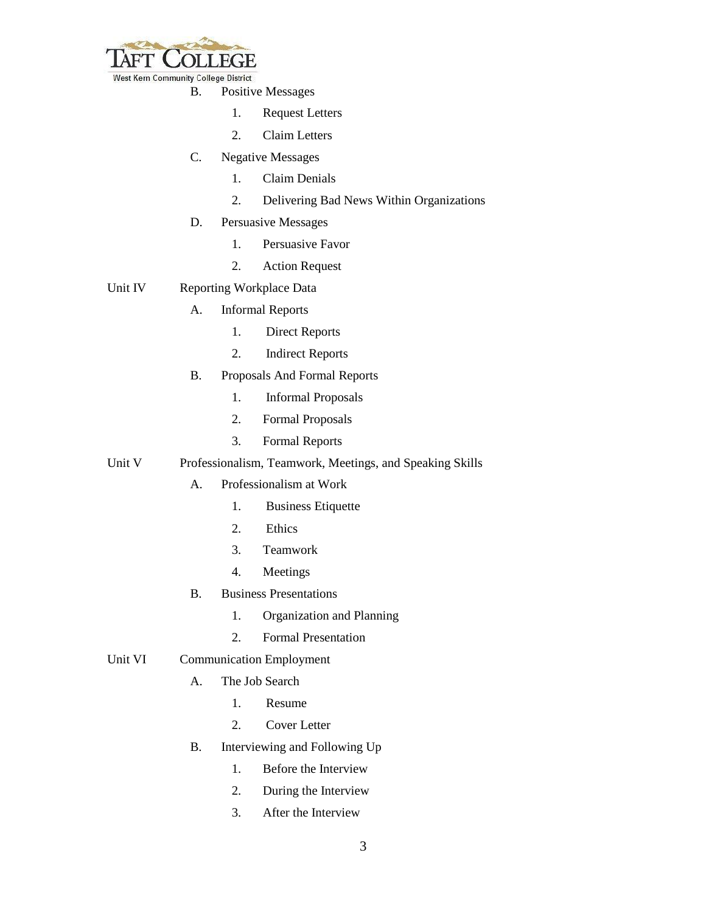

B. Positive Messages

- 1. Request Letters
- 2. Claim Letters
- C. Negative Messages
	- 1. Claim Denials
	- 2. Delivering Bad News Within Organizations
- D. Persuasive Messages
	- 1. Persuasive Favor
	- 2. Action Request

## Unit IV Reporting Workplace Data

- A. Informal Reports
	- 1. Direct Reports
	- 2. Indirect Reports
- B. Proposals And Formal Reports
	- 1. Informal Proposals
	- 2. Formal Proposals
	- 3. Formal Reports

# Unit V Professionalism, Teamwork, Meetings, and Speaking Skills

- A. Professionalism at Work
	- 1. Business Etiquette
	- 2. Ethics
	- 3. Teamwork
	- 4. Meetings
- B. Business Presentations
	- 1. Organization and Planning
	- 2. Formal Presentation
- Unit VI Communication Employment
	- A. The Job Search
		- 1. Resume
		- 2. Cover Letter
	- B. Interviewing and Following Up
		- 1. Before the Interview
		- 2. During the Interview
		- 3. After the Interview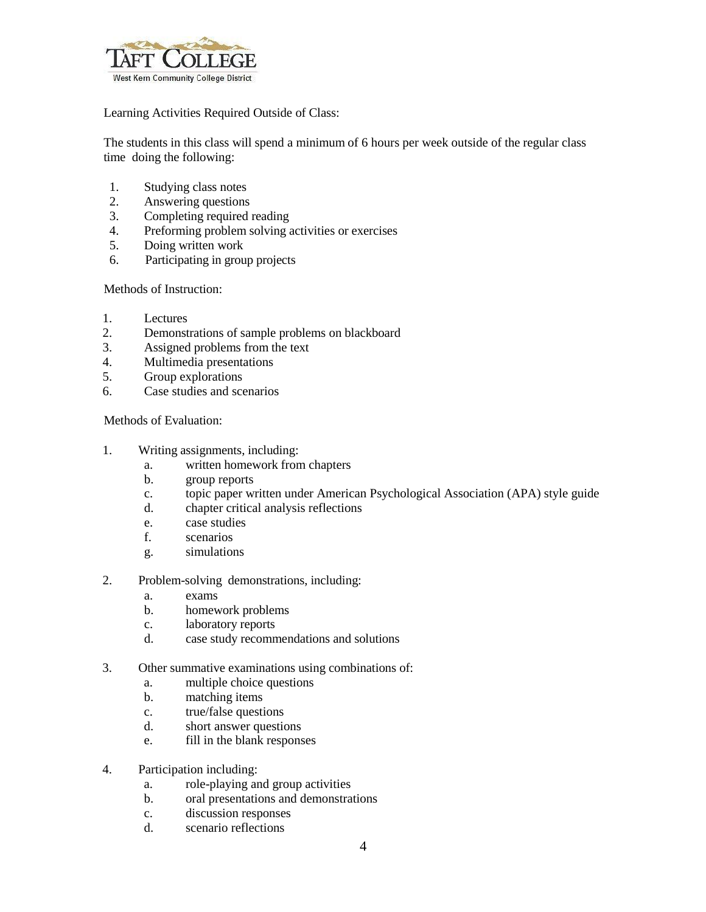

Learning Activities Required Outside of Class:

The students in this class will spend a minimum of 6 hours per week outside of the regular class time doing the following:

- 1. Studying class notes
- 2. Answering questions
- 3. Completing required reading
- 4. Preforming problem solving activities or exercises
- 5. Doing written work
- 6. Participating in group projects

Methods of Instruction:

- 1. Lectures
- 2. Demonstrations of sample problems on blackboard
- 3. Assigned problems from the text
- 4. Multimedia presentations
- 5. Group explorations
- 6. Case studies and scenarios

Methods of Evaluation:

- 1. Writing assignments, including:
	- a. written homework from chapters
	- b. group reports
	- c. topic paper written under American Psychological Association (APA) style guide
	- d. chapter critical analysis reflections
	- e. case studies
	- f. scenarios
	- g. simulations
- 2. Problem-solving demonstrations, including:
	- a. exams
	- b. homework problems
	- c. laboratory reports
	- d. case study recommendations and solutions
- 3. Other summative examinations using combinations of:
	- a. multiple choice questions
	- b. matching items
	- c. true/false questions
	- d. short answer questions
	- e. fill in the blank responses
- 4. Participation including:
	- a. role-playing and group activities
	- b. oral presentations and demonstrations
	- c. discussion responses
	- d. scenario reflections